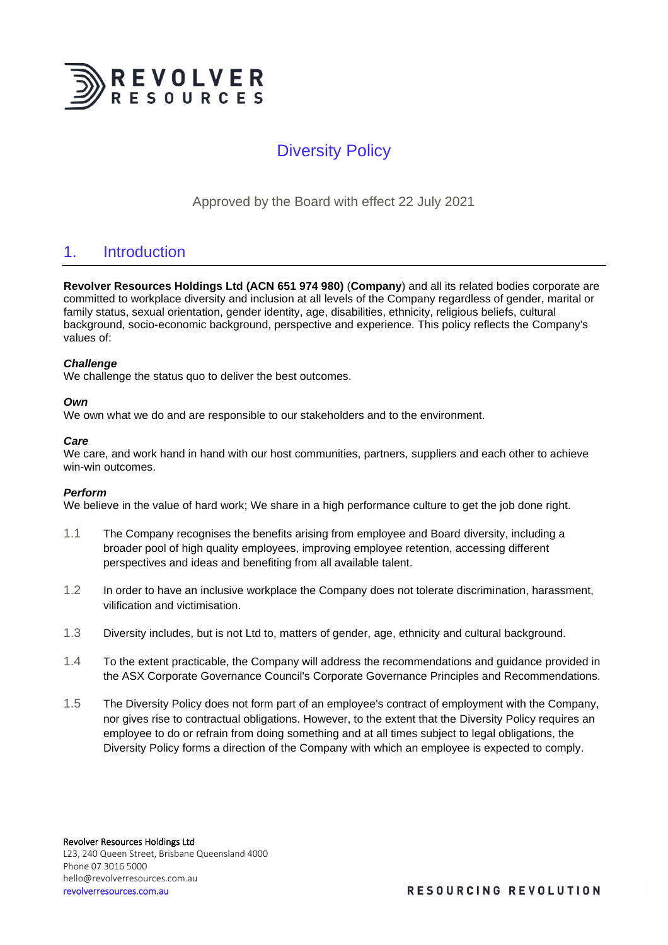

# Diversity Policy

Approved by the Board with effect 22 July 2021

## 1. Introduction

**Revolver Resources Holdings Ltd (ACN 651 974 980)** (**Company**) and all its related bodies corporate are committed to workplace diversity and inclusion at all levels of the Company regardless of gender, marital or family status, sexual orientation, gender identity, age, disabilities, ethnicity, religious beliefs, cultural background, socio-economic background, perspective and experience. This policy reflects the Company's values of:

### *Challenge*

We challenge the status quo to deliver the best outcomes.

### *Own*

We own what we do and are responsible to our stakeholders and to the environment.

### *Care*

We care, and work hand in hand with our host communities, partners, suppliers and each other to achieve win-win outcomes.

#### *Perform*

We believe in the value of hard work; We share in a high performance culture to get the job done right.

- 1.1 The Company recognises the benefits arising from employee and Board diversity, including a broader pool of high quality employees, improving employee retention, accessing different perspectives and ideas and benefiting from all available talent.
- 1.2 In order to have an inclusive workplace the Company does not tolerate discrimination, harassment, vilification and victimisation.
- 1.3 Diversity includes, but is not Ltd to, matters of gender, age, ethnicity and cultural background.
- 1.4 To the extent practicable, the Company will address the recommendations and guidance provided in the ASX Corporate Governance Council's Corporate Governance Principles and Recommendations.
- 1.5 The Diversity Policy does not form part of an employee's contract of employment with the Company, nor gives rise to contractual obligations. However, to the extent that the Diversity Policy requires an employee to do or refrain from doing something and at all times subject to legal obligations, the Diversity Policy forms a direction of the Company with which an employee is expected to comply.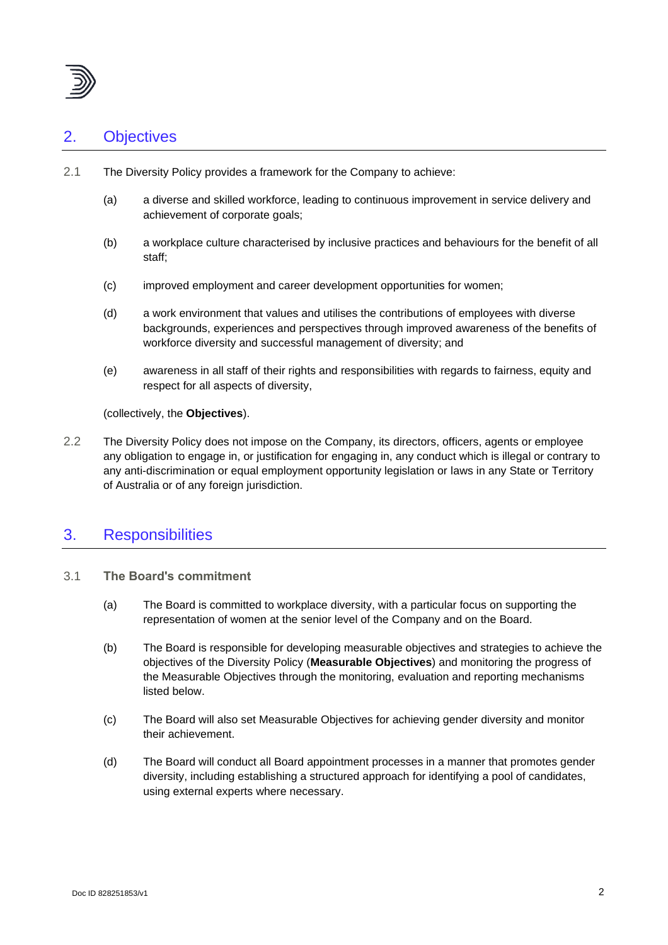

## 2. Objectives

- 2.1 The Diversity Policy provides a framework for the Company to achieve:
	- (a) a diverse and skilled workforce, leading to continuous improvement in service delivery and achievement of corporate goals;
	- (b) a workplace culture characterised by inclusive practices and behaviours for the benefit of all staff;
	- (c) improved employment and career development opportunities for women;
	- (d) a work environment that values and utilises the contributions of employees with diverse backgrounds, experiences and perspectives through improved awareness of the benefits of workforce diversity and successful management of diversity; and
	- (e) awareness in all staff of their rights and responsibilities with regards to fairness, equity and respect for all aspects of diversity,

(collectively, the **Objectives**).

2.2 The Diversity Policy does not impose on the Company, its directors, officers, agents or employee any obligation to engage in, or justification for engaging in, any conduct which is illegal or contrary to any anti-discrimination or equal employment opportunity legislation or laws in any State or Territory of Australia or of any foreign jurisdiction.

## 3. Responsibilities

- 3.1 **The Board's commitment**
	- (a) The Board is committed to workplace diversity, with a particular focus on supporting the representation of women at the senior level of the Company and on the Board.
	- (b) The Board is responsible for developing measurable objectives and strategies to achieve the objectives of the Diversity Policy (**Measurable Objectives**) and monitoring the progress of the Measurable Objectives through the monitoring, evaluation and reporting mechanisms listed below.
	- (c) The Board will also set Measurable Objectives for achieving gender diversity and monitor their achievement.
	- (d) The Board will conduct all Board appointment processes in a manner that promotes gender diversity, including establishing a structured approach for identifying a pool of candidates, using external experts where necessary.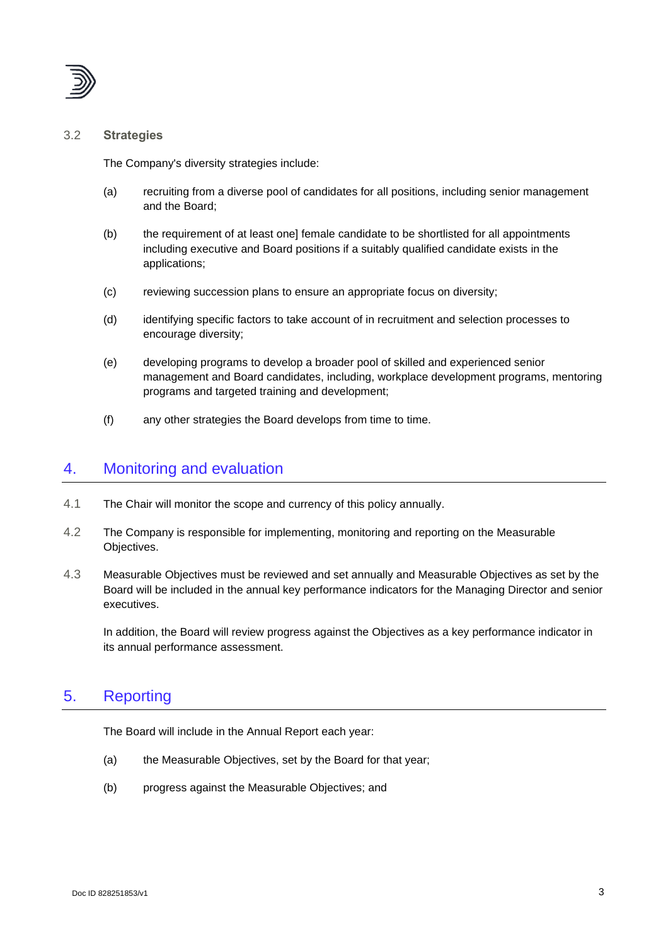

### 3.2 **Strategies**

The Company's diversity strategies include:

- (a) recruiting from a diverse pool of candidates for all positions, including senior management and the Board;
- (b) the requirement of at least one] female candidate to be shortlisted for all appointments including executive and Board positions if a suitably qualified candidate exists in the applications;
- (c) reviewing succession plans to ensure an appropriate focus on diversity;
- (d) identifying specific factors to take account of in recruitment and selection processes to encourage diversity;
- (e) developing programs to develop a broader pool of skilled and experienced senior management and Board candidates, including, workplace development programs, mentoring programs and targeted training and development;
- (f) any other strategies the Board develops from time to time.

### 4. Monitoring and evaluation

- 4.1 The Chair will monitor the scope and currency of this policy annually.
- 4.2 The Company is responsible for implementing, monitoring and reporting on the Measurable Objectives.
- 4.3 Measurable Objectives must be reviewed and set annually and Measurable Objectives as set by the Board will be included in the annual key performance indicators for the Managing Director and senior executives.

In addition, the Board will review progress against the Objectives as a key performance indicator in its annual performance assessment.

## 5. Reporting

The Board will include in the Annual Report each year:

- (a) the Measurable Objectives, set by the Board for that year;
- (b) progress against the Measurable Objectives; and